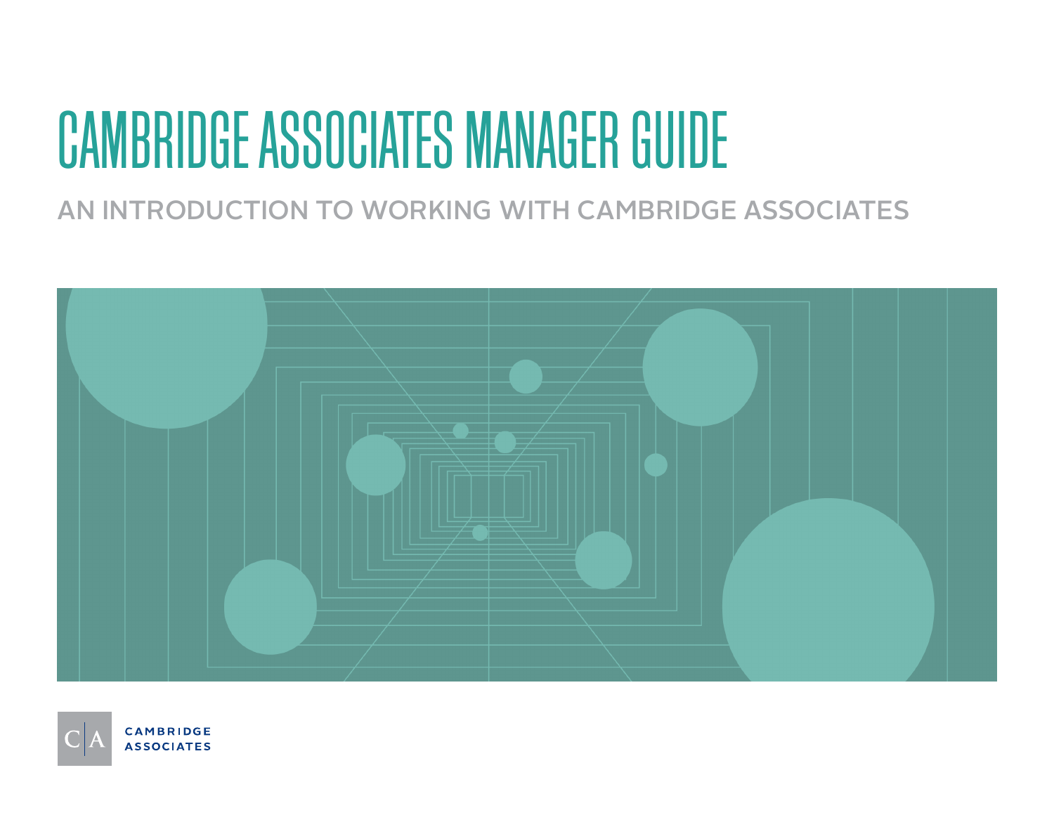# CAMBRIDGE ASSOCIATES MANAGER GUIDE

## AN INTRODUCTION TO WORKING WITH CAMBRIDGE ASSOCIATES



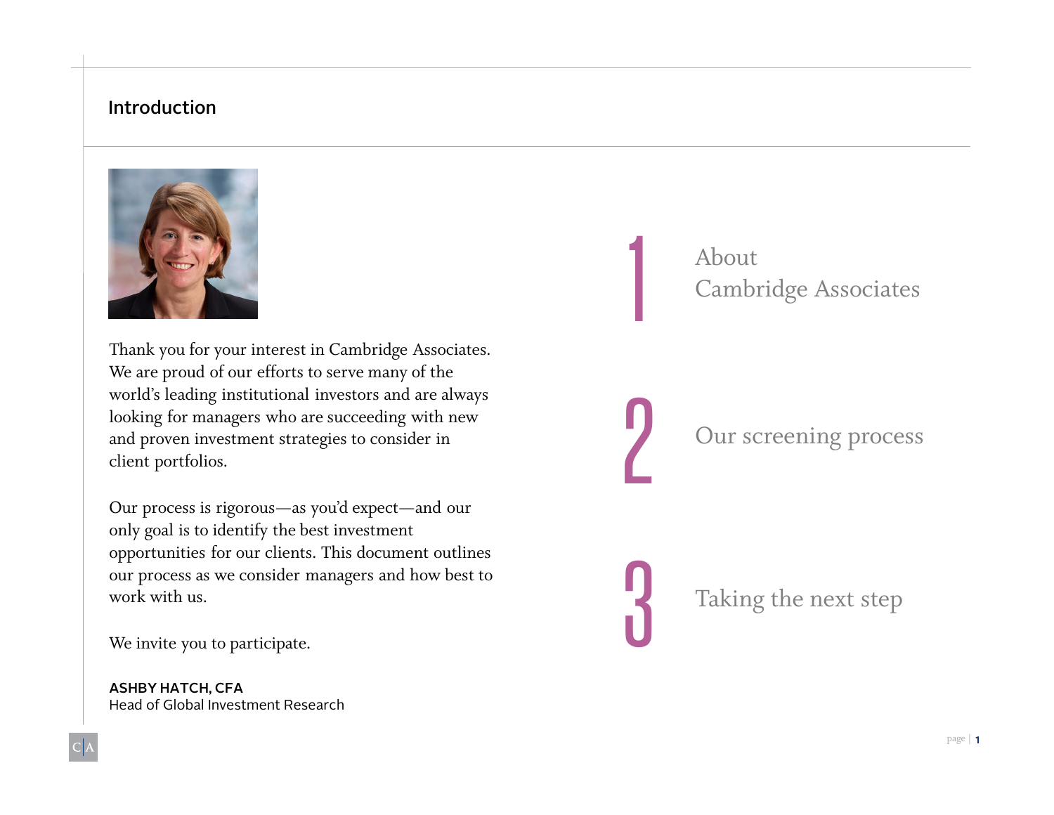#### Introduction



Thank you for your interest in Cambridge Associates. We are proud of our efforts to serve many of the world's leading institutional investors and are always looking for managers who are succeeding with new and proven investment strategies to consider in client portfolios.

Our process is rigorous—as you'd expect—and our only goal is to identify the best investment opportunities for our clients. This document outlines our process as we consider managers and how best to work with us.

We invite you to participate.

ASHBY HATCH, CFA Head of Global Investment Research 1 About<br>Cambr Cambridge Associates

Our screening process

Taking the next step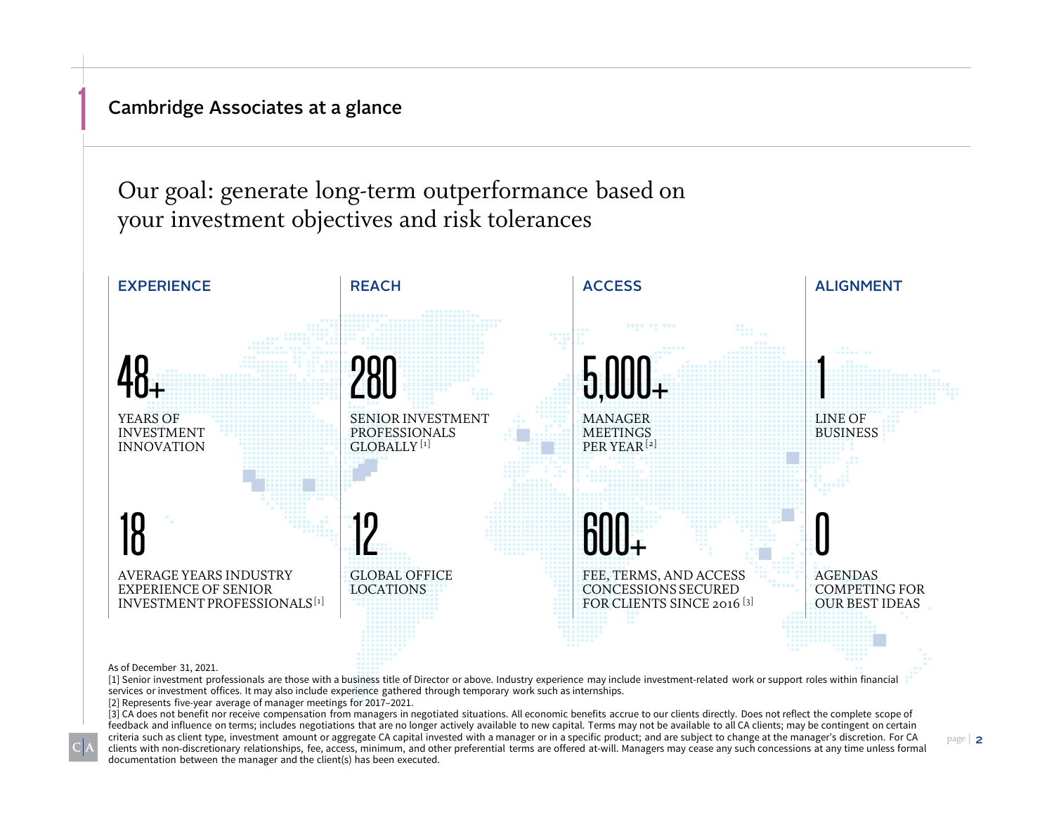Cambridge Associates at a glance

1

Our goal: generate long-term outperformance based on your investment objectives and risk tolerances



As of December 31, 2021.

[1] Senior investment professionals are those with a business title of Director or above. Industry experience may include investment-related work or support roles within financial services or investment offices. It may also include experience gathered through temporary work such as internships.

[2] Represents five-year average of manager meetings for 2017–2021.

[3] CA does not benefit nor receive compensation from managers in negotiated situations. All economic benefits accrue to our clients directly. Does not reflect the complete scope of feedback and influence on terms; includes negotiations that are no longer actively available to new capital. Terms may not be available to all CA clients; may be contingent on certain criteria such as client type, investment amount or aggregate CA capital invested with a manager or in a specific product; and are subject to change at the manager's discretion. For CA clients with non-discretionary relationships, fee, access, minimum, and other preferential terms are offered at-will. Managers may cease any such concessions at any time unless formal documentation between the manager and the client(s) has been executed.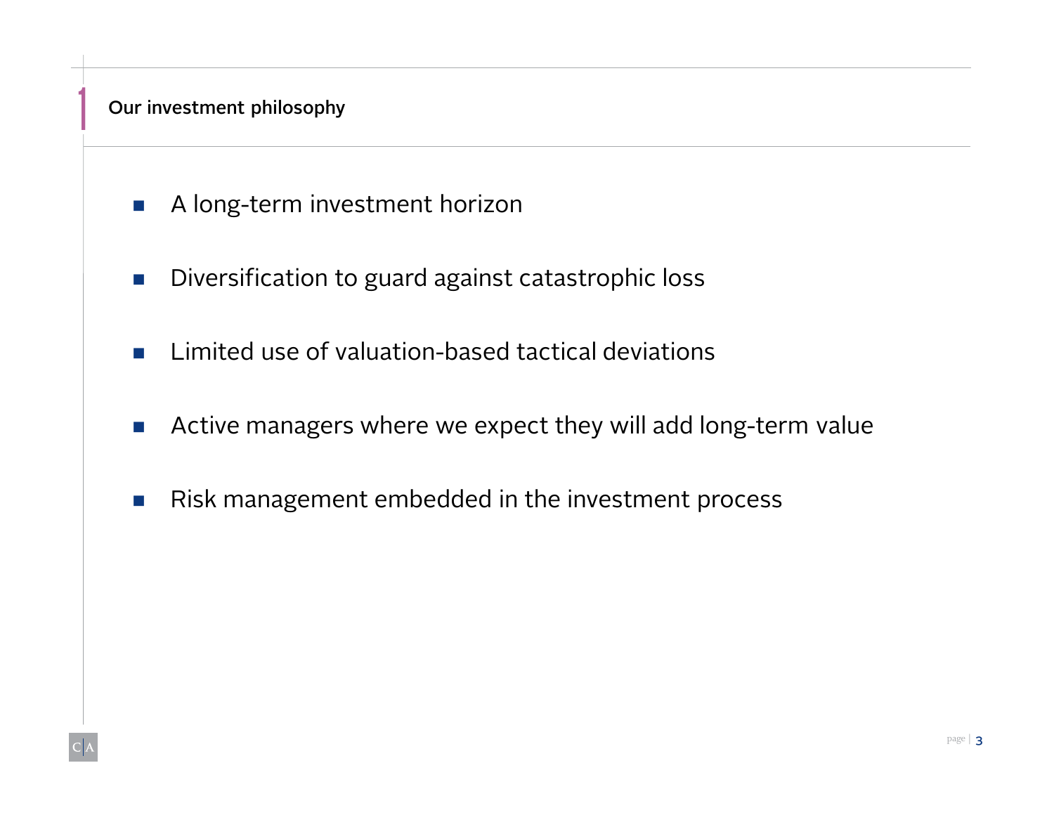### Our investment philosophy

1

- A long-term investment horizon
- **Diversification to guard against catastrophic loss**
- **E** Limited use of valuation-based tactical deviations
- **Active managers where we expect they will add long-term value**
- Risk management embedded in the investment process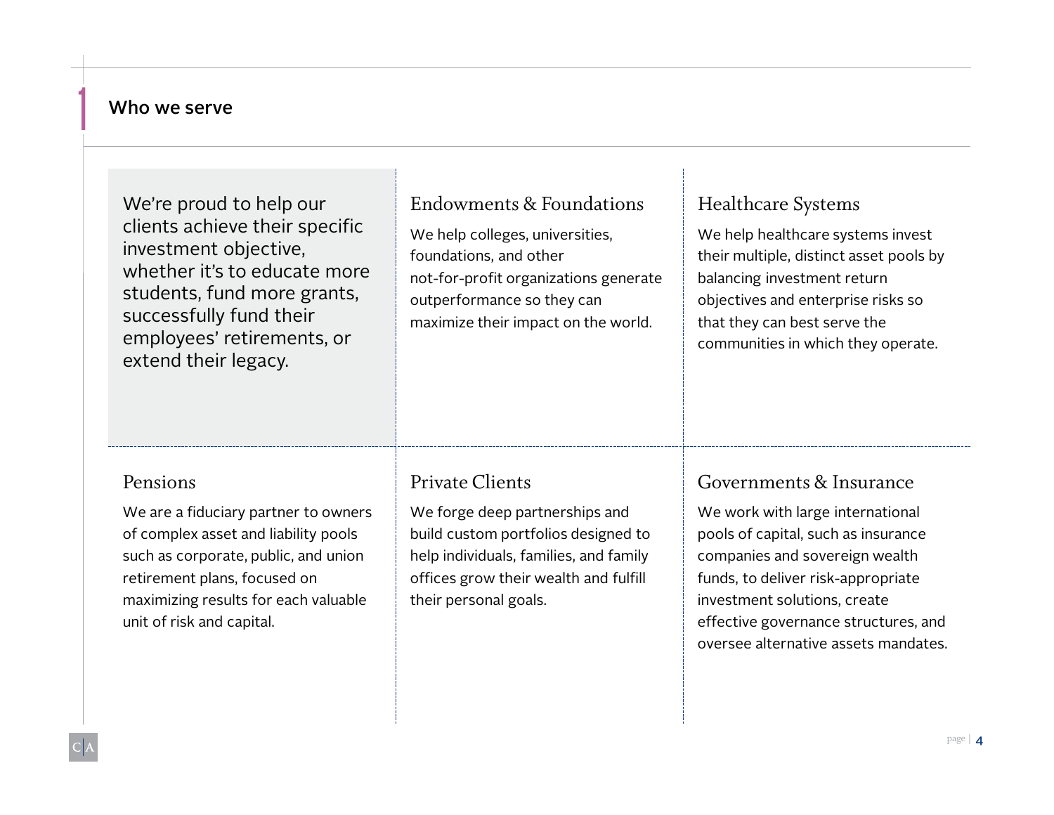#### Who we serve

1

| We're proud to help our<br>clients achieve their specific<br>investment objective,<br>whether it's to educate more<br>students, fund more grants,<br>successfully fund their<br>employees' retirements, or<br>extend their legacy.    | Endowments & Foundations<br>We help colleges, universities,<br>foundations, and other<br>not-for-profit organizations generate<br>outperformance so they can<br>maximize their impact on the world.  | <b>Healthcare Systems</b><br>We help healthcare systems invest<br>their multiple, distinct asset pools by<br>balancing investment return<br>objectives and enterprise risks so<br>that they can best serve the<br>communities in which they operate.                                       |
|---------------------------------------------------------------------------------------------------------------------------------------------------------------------------------------------------------------------------------------|------------------------------------------------------------------------------------------------------------------------------------------------------------------------------------------------------|--------------------------------------------------------------------------------------------------------------------------------------------------------------------------------------------------------------------------------------------------------------------------------------------|
| Pensions<br>We are a fiduciary partner to owners<br>of complex asset and liability pools<br>such as corporate, public, and union<br>retirement plans, focused on<br>maximizing results for each valuable<br>unit of risk and capital. | Private Clients<br>We forge deep partnerships and<br>build custom portfolios designed to<br>help individuals, families, and family<br>offices grow their wealth and fulfill<br>their personal goals. | Governments & Insurance<br>We work with large international<br>pools of capital, such as insurance<br>companies and sovereign wealth<br>funds, to deliver risk-appropriate<br>investment solutions, create<br>effective governance structures, and<br>oversee alternative assets mandates. |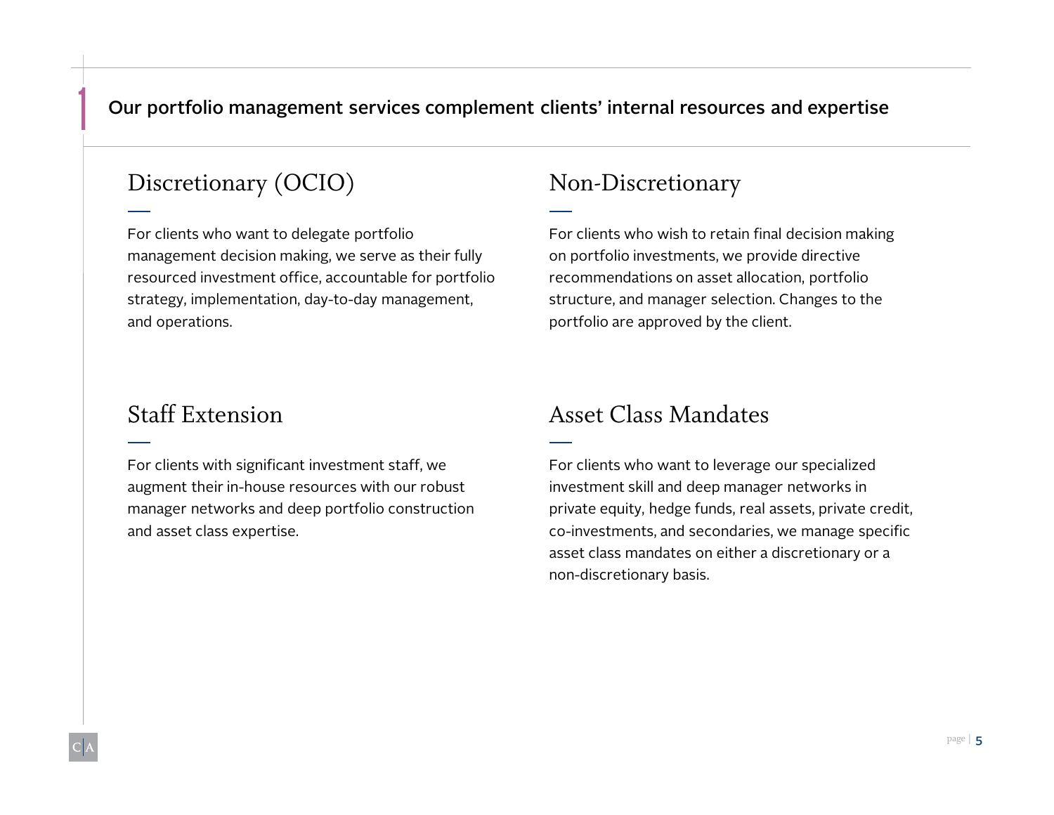#### Our portfolio management services complement clients' internal resources and expertise

## Discretionary (OCIO) Non-Discretionary

For clients who want to delegate portfolio management decision making, we serve as their fully resourced investment office, accountable for portfolio strategy, implementation, day-to-day management, and operations.

For clients who wish to retain final decision making on portfolio investments, we provide directive recommendations on asset allocation, portfolio structure, and manager selection. Changes to the portfolio are approved by the client.

For clients with significant investment staff, we augment their in-house resources with our robust manager networks and deep portfolio construction and asset class expertise.

#### Staff Extension Asset Class Mandates

For clients who want to leverage our specialized investment skill and deep manager networks in private equity, hedge funds, real assets, private credit, co-investments, and secondaries, we manage specific asset class mandates on either a discretionary or a non-discretionary basis.

1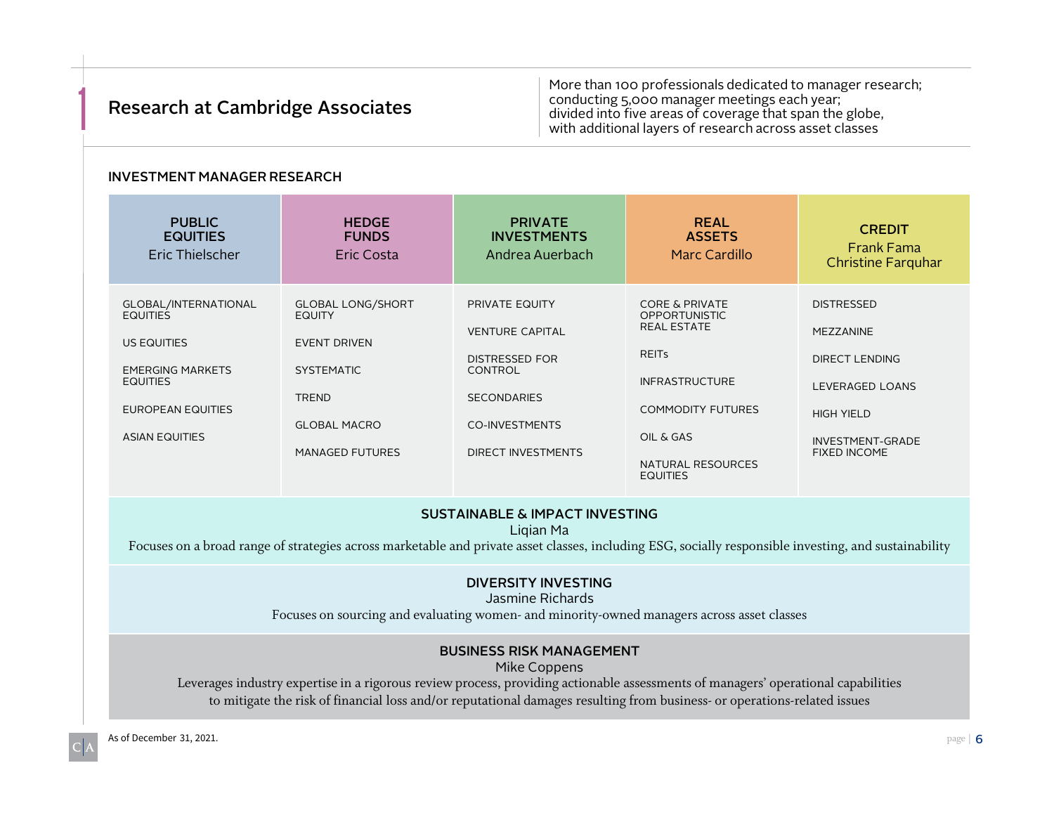#### Research at Cambridge Associates

**1** More than 100 professionals dedicated to manager research;<br> **1** More than 100 professionals dedicated to manager research;<br>
conducting 5,000 manager meetings each year;<br>
divided into five areas of coverage that span th conducting 5,000 manager meetings each year; divided into five areas of coverage that span the globe, with additional layers of research across asset classes

#### INVESTMENT MANAGER RESEARCH

| <b>PUBLIC</b><br><b>EQUITIES</b><br>Eric Thielscher | <b>HEDGE</b><br><b>FUNDS</b><br><b>Eric Costa</b> | <b>PRIVATE</b><br><b>INVESTMENTS</b><br>Andrea Auerbach | <b>REAL</b><br><b>ASSETS</b><br>Marc Cardillo | <b>CREDIT</b><br><b>Frank Fama</b><br><b>Christine Farquhar</b> |
|-----------------------------------------------------|---------------------------------------------------|---------------------------------------------------------|-----------------------------------------------|-----------------------------------------------------------------|
| GLOBAL/INTERNATIONAL                                | <b>GLOBAL LONG/SHORT</b>                          | <b>PRIVATE EQUITY</b>                                   | <b>CORE &amp; PRIVATE</b>                     | <b>DISTRESSED</b>                                               |
| <b>EQUITIES</b>                                     | <b>EQUITY</b>                                     |                                                         | <b>OPPORTUNISTIC</b>                          |                                                                 |
|                                                     |                                                   | <b>VENTURE CAPITAL</b>                                  | <b>REAL ESTATE</b>                            | <b>MEZZANINE</b>                                                |
| <b>US EQUITIES</b>                                  | <b>EVENT DRIVEN</b>                               | <b>DISTRESSED FOR</b>                                   | <b>REITS</b>                                  | <b>DIRECT LENDING</b>                                           |
| <b>EMERGING MARKETS</b>                             | <b>SYSTEMATIC</b>                                 | <b>CONTROL</b>                                          |                                               |                                                                 |
| <b>EQUITIES</b>                                     |                                                   |                                                         | <b>INFRASTRUCTURE</b>                         | <b>LEVERAGED LOANS</b>                                          |
| <b>EUROPEAN EQUITIES</b>                            | <b>TREND</b>                                      | <b>SECONDARIES</b>                                      | <b>COMMODITY FUTURES</b>                      |                                                                 |
|                                                     | <b>GLOBAL MACRO</b>                               | <b>CO-INVESTMENTS</b>                                   |                                               | <b>HIGH YIELD</b>                                               |
| <b>ASIAN EQUITIES</b>                               |                                                   |                                                         | OIL & GAS                                     | INVESTMENT-GRADE                                                |
|                                                     | <b>MANAGED FUTURES</b>                            | <b>DIRECT INVESTMENTS</b>                               |                                               | <b>FIXED INCOME</b>                                             |
|                                                     |                                                   |                                                         | NATURAL RESOURCES<br><b>EQUITIES</b>          |                                                                 |

#### SUSTAINABLE & IMPACT INVESTING

Liqian Ma

Focuses on a broad range of strategies across marketable and private asset classes, including ESG, socially responsible investing, and sustainability

#### DIVERSITY INVESTING

Jasmine Richards

Focuses on sourcing and evaluating women- and minority-owned managers across asset classes

#### BUSINESS RISK MANAGEMENT

Mike Coppens

Leverages industry expertise in a rigorous review process, providing actionable assessments of managers' operational capabilities to mitigate the risk of financial loss and/or reputational damages resulting from business- or operations-related issues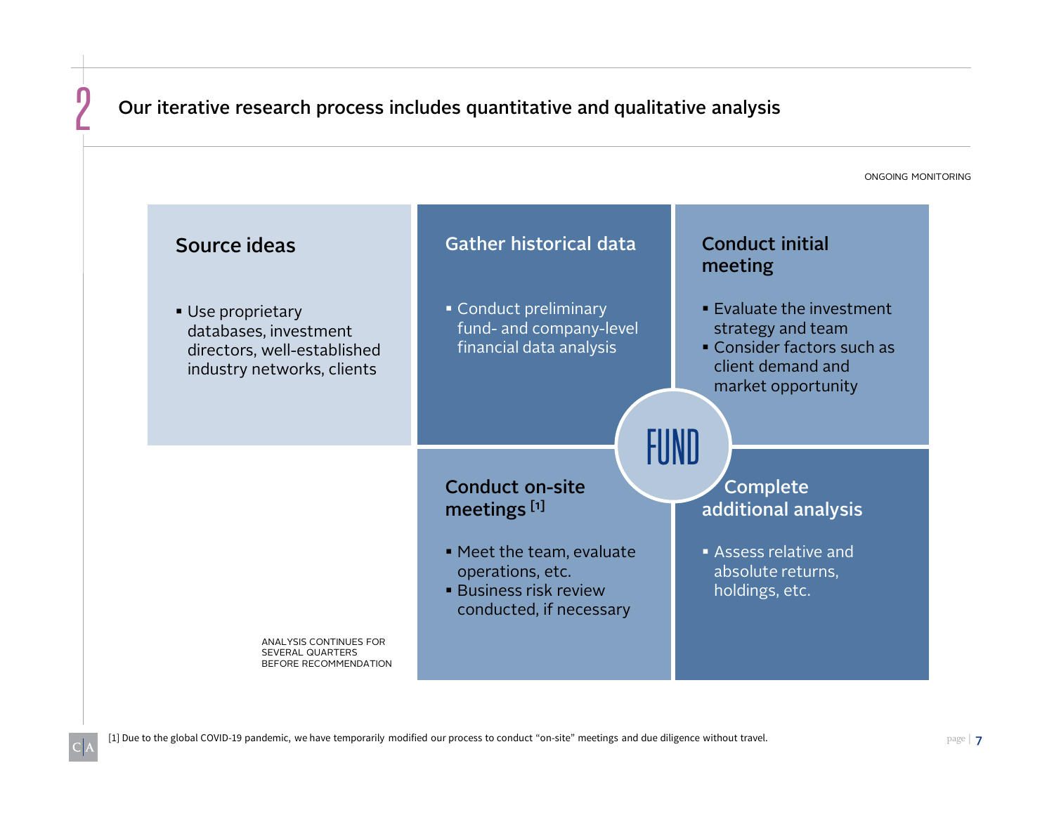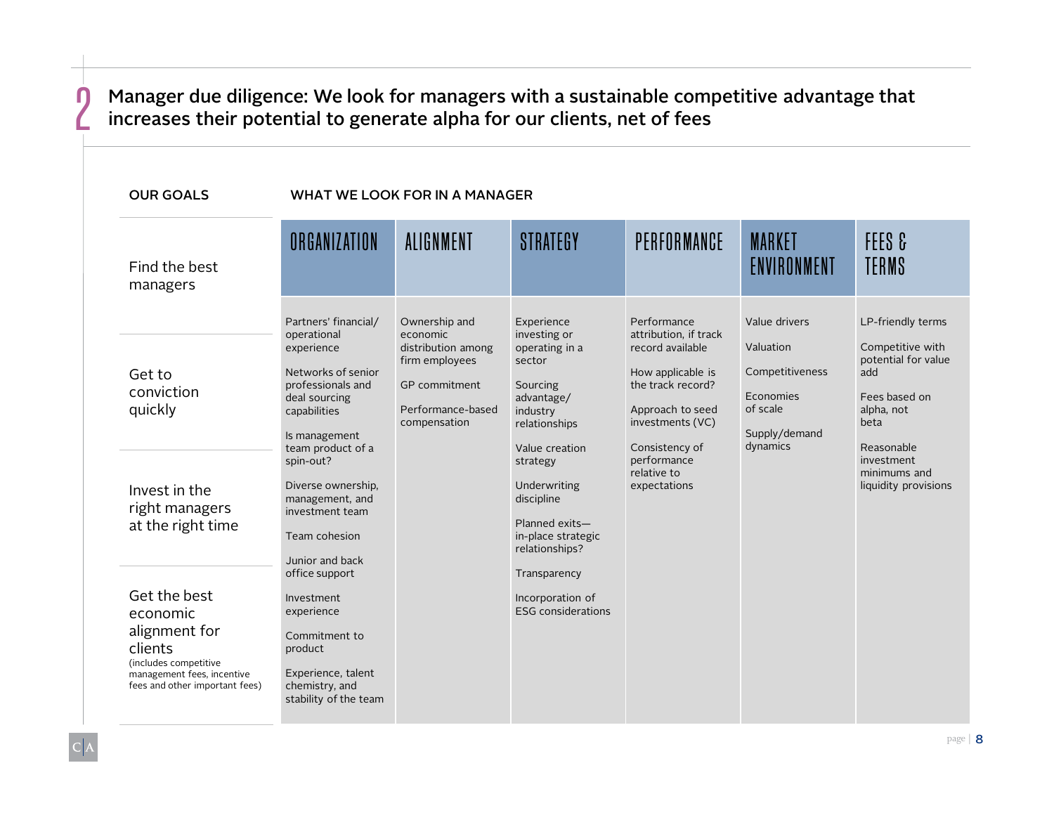#### Manager due diligence: We look for managers with a sustainable competitive advantage that increases their potential to generate alpha for our clients, net of fees

| <b>OUR GOALS</b>                                                                                                                              | WHAT WE LOOK FOR IN A MANAGER                                                                                                                                                                                                                                                    |                                                                                                                         |                                                                                                                                                                                                                                     |                                                                                                                                                                                                            |                                                                                                     |                                                                                                                                                                                |  |
|-----------------------------------------------------------------------------------------------------------------------------------------------|----------------------------------------------------------------------------------------------------------------------------------------------------------------------------------------------------------------------------------------------------------------------------------|-------------------------------------------------------------------------------------------------------------------------|-------------------------------------------------------------------------------------------------------------------------------------------------------------------------------------------------------------------------------------|------------------------------------------------------------------------------------------------------------------------------------------------------------------------------------------------------------|-----------------------------------------------------------------------------------------------------|--------------------------------------------------------------------------------------------------------------------------------------------------------------------------------|--|
| Find the best<br>managers                                                                                                                     | ORGANIZATION                                                                                                                                                                                                                                                                     | ALIGNMENT                                                                                                               | STRATEGY                                                                                                                                                                                                                            | PERFORMANCE                                                                                                                                                                                                | <b>MARKET</b><br>ENVIRONMENT                                                                        | FEES &<br>TERMS                                                                                                                                                                |  |
| Get to<br>conviction<br>quickly<br>Invest in the<br>right managers<br>at the right time                                                       | Partners' financial/<br>operational<br>experience<br>Networks of senior<br>professionals and<br>deal sourcing<br>capabilities<br>Is management<br>team product of a<br>spin-out?<br>Diverse ownership,<br>management, and<br>investment team<br>Team cohesion<br>Junior and back | Ownership and<br>economic<br>distribution among<br>firm employees<br>GP commitment<br>Performance-based<br>compensation | Experience<br>investing or<br>operating in a<br>sector<br>Sourcing<br>advantage/<br>industry<br>relationships<br>Value creation<br>strategy<br>Underwriting<br>discipline<br>Planned exits-<br>in-place strategic<br>relationships? | Performance<br>attribution, if track<br>record available<br>How applicable is<br>the track record?<br>Approach to seed<br>investments (VC)<br>Consistency of<br>performance<br>relative to<br>expectations | Value drivers<br>Valuation<br>Competitiveness<br>Economies<br>of scale<br>Supply/demand<br>dynamics | LP-friendly terms<br>Competitive with<br>potential for value<br>add<br>Fees based on<br>alpha, not<br>beta<br>Reasonable<br>investment<br>minimums and<br>liquidity provisions |  |
| Get the best<br>economic<br>alignment for<br>clients<br>(includes competitive<br>management fees, incentive<br>fees and other important fees) | office support<br>Investment<br>experience<br>Commitment to<br>product<br>Experience, talent<br>chemistry, and<br>stability of the team                                                                                                                                          |                                                                                                                         |                                                                                                                                                                                                                                     | Transparency<br>Incorporation of<br><b>ESG</b> considerations                                                                                                                                              |                                                                                                     |                                                                                                                                                                                |  |

 $\Gamma$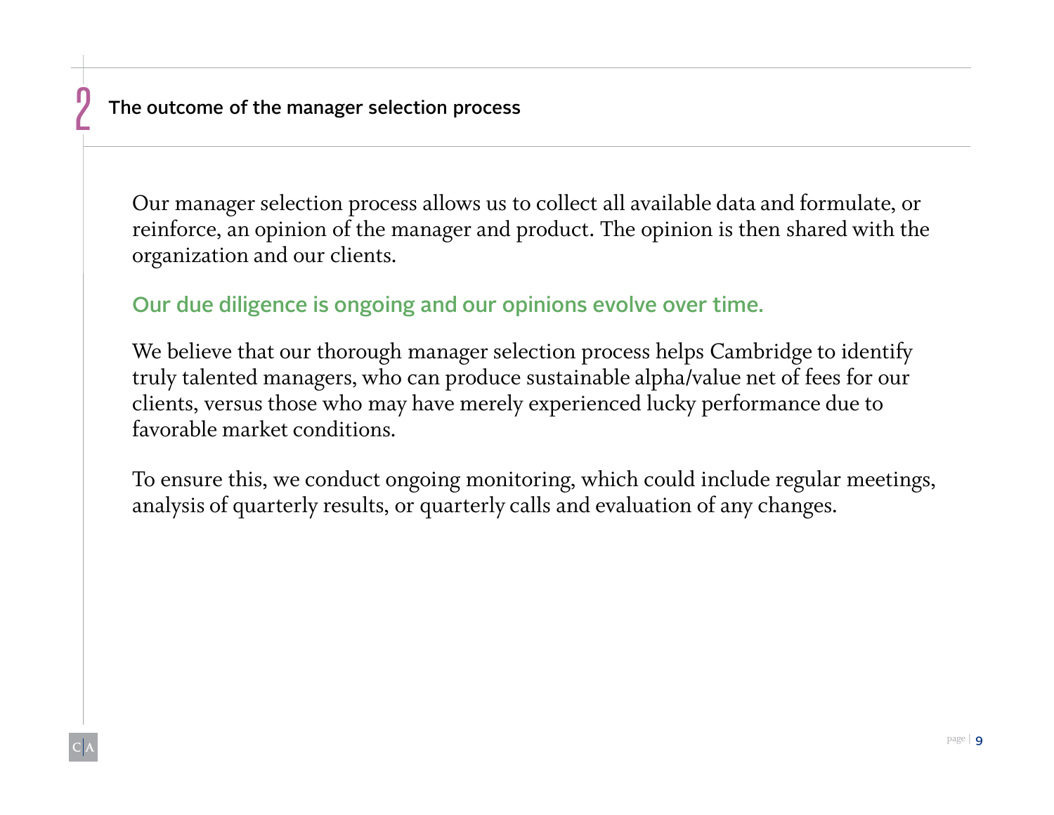$\frac{1}{2}$ 

Our manager selection process allows us to collect all available data and formulate, or reinforce, an opinion of the manager and product. The opinion is then shared with the organization and our clients.

Our due diligence is ongoing and our opinions evolve over time.

We believe that our thorough manager selection process helps Cambridge to identify truly talented managers, who can produce sustainable alpha/value net of fees for our clients, versus those who may have merely experienced lucky performance due to favorable market conditions.

To ensure this, we conduct ongoing monitoring, which could include regular meetings, analysis of quarterly results, or quarterly calls and evaluation of any changes.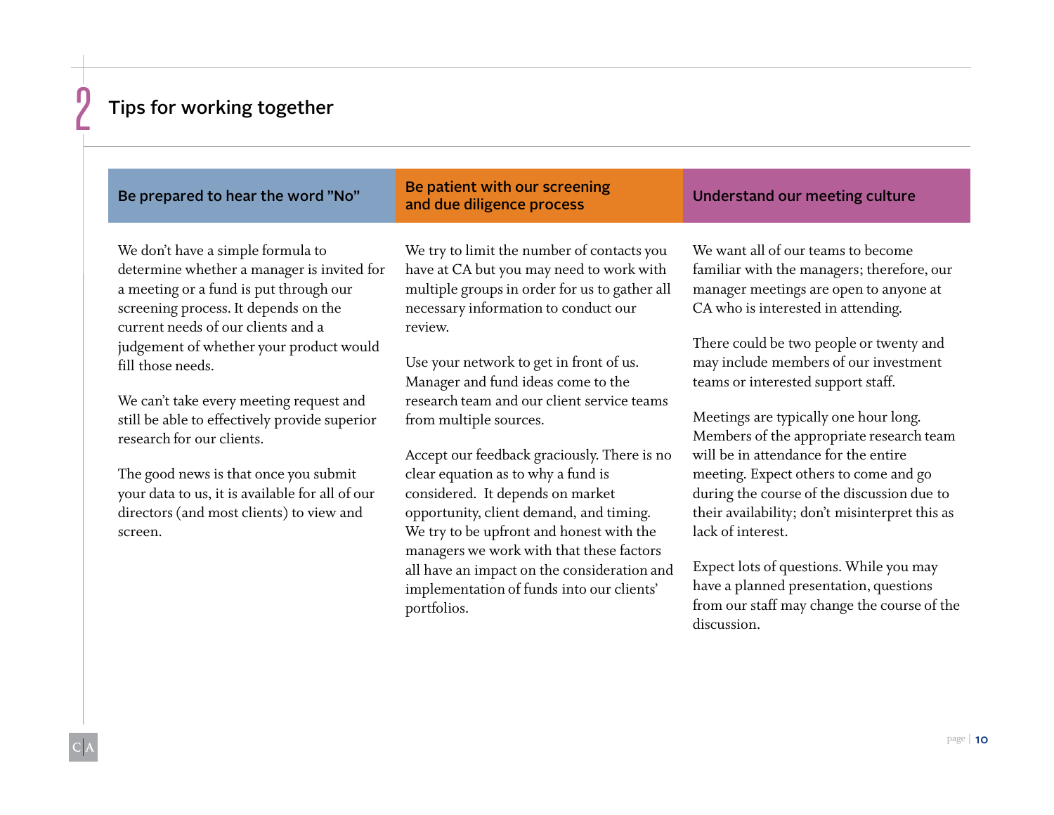#### Tips for working together

#### Be prepared to hear the word "No" Be patient with our screening and due diligence process Understand our meeting culture We don't have a simple formula to determine whether a manager is invited for a meeting or a fund is put through our screening process. It depends on the current needs of our clients and a judgement of whether your product would fill those needs. We can't take every meeting request and still be able to effectively provide superior research for our clients. The good news is that once you submit We try to limit the number of contacts you have at CA but you may need to work with multiple groups in order for us to gather all necessary information to conduct our review. Use your network to get in front of us. Manager and fund ideas come to the research team and our client service teams from multiple sources. Accept our feedback graciously. There is no clear equation as to why a fund is We want all of our teams to become CA who is interested in attending. teams or interested support staff. Meetings are typically one hour long. will be in attendance for the entire

your data to us, it is available for all of our directors (and most clients) to view and screen.

considered. It depends on market opportunity, client demand, and timing. We try to be upfront and honest with the managers we work with that these factors all have an impact on the consideration and implementation of funds into our clients' portfolios.

familiar with the managers; therefore, our manager meetings are open to anyone at

There could be two people or twenty and may include members of our investment

Members of the appropriate research team meeting. Expect others to come and go during the course of the discussion due to their availability; don't misinterpret this as lack of interest.

Expect lots of questions. While you may have a planned presentation, questions from our staff may change the course of the discussion.

 $\frac{1}{2}$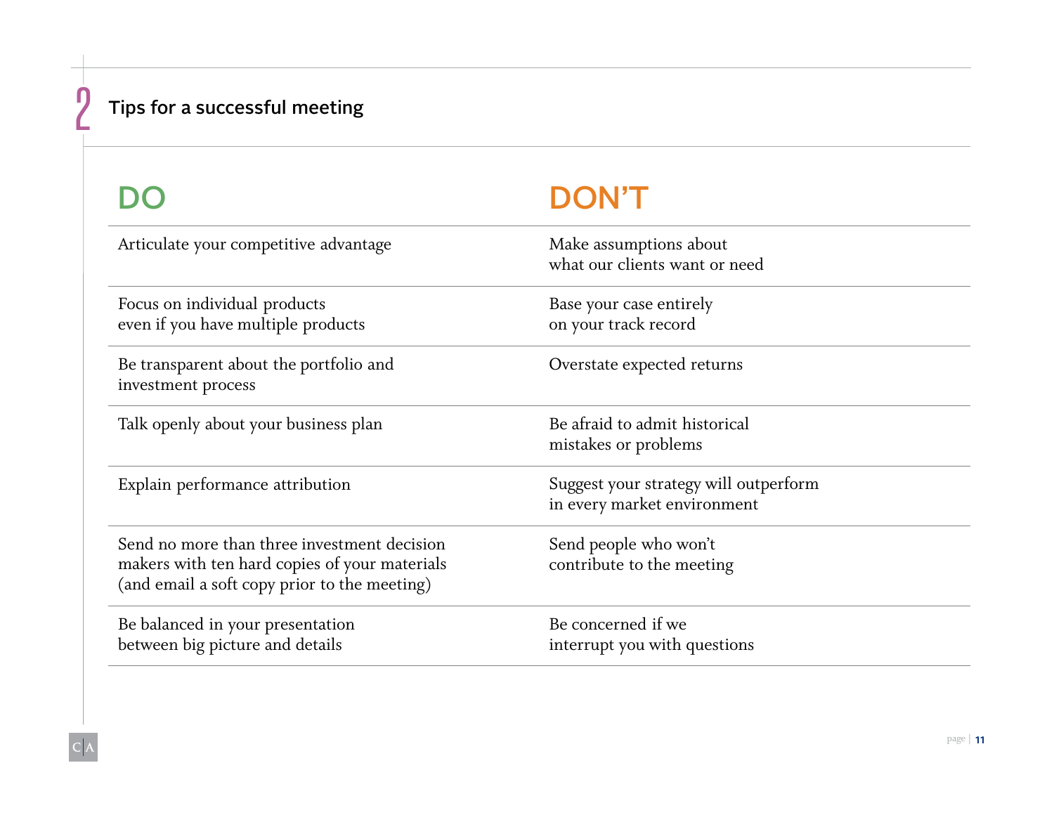## Tips for a successful meeting

 $\Gamma$ 

## DON'T

| Articulate your competitive advantage                                                                                                        | Make assumptions about<br>what our clients want or need              |
|----------------------------------------------------------------------------------------------------------------------------------------------|----------------------------------------------------------------------|
| Focus on individual products<br>even if you have multiple products                                                                           | Base your case entirely<br>on your track record                      |
| Be transparent about the portfolio and<br>investment process                                                                                 | Overstate expected returns                                           |
| Talk openly about your business plan                                                                                                         | Be afraid to admit historical<br>mistakes or problems                |
| Explain performance attribution                                                                                                              | Suggest your strategy will outperform<br>in every market environment |
| Send no more than three investment decision<br>makers with ten hard copies of your materials<br>(and email a soft copy prior to the meeting) | Send people who won't<br>contribute to the meeting                   |
| Be balanced in your presentation<br>between big picture and details                                                                          | Be concerned if we<br>interrupt you with questions                   |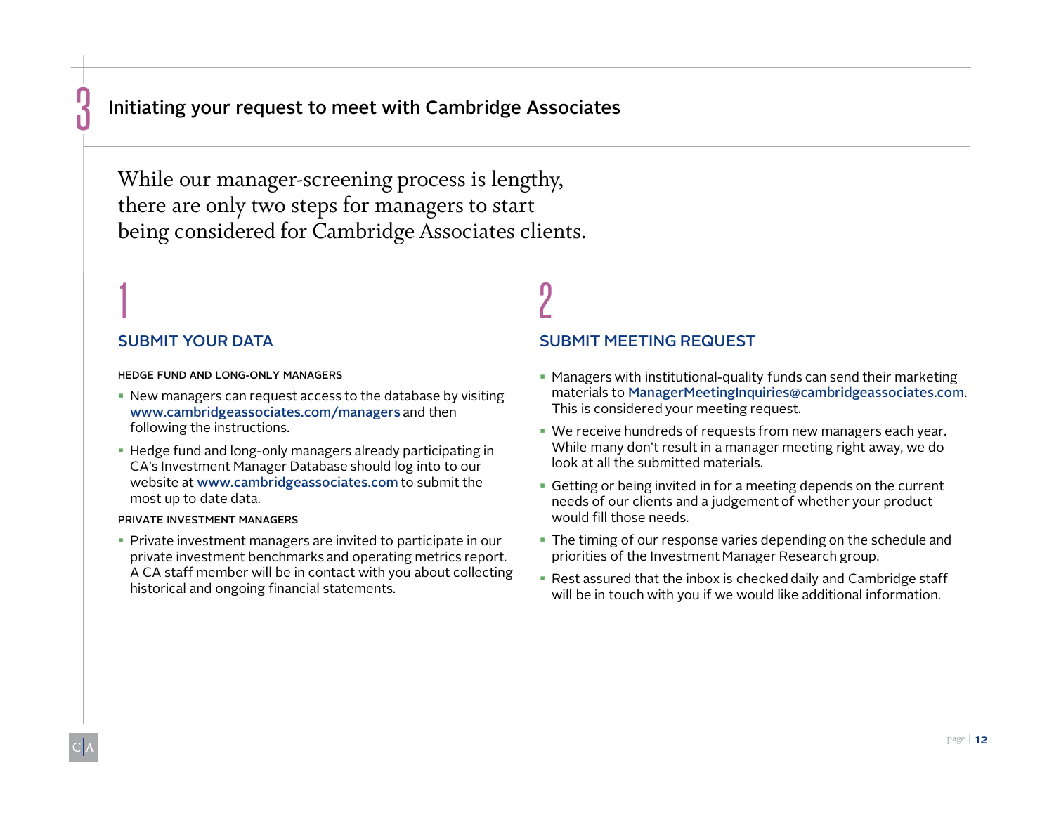#### Initiating your request to meet with Cambridge Associates

While our manager-screening process is lengthy, there are only two steps for managers to start being considered for Cambridge Associates clients.

#### SUBMIT YOUR DATA

1

<u>ด้</u>

HEDGE FUND AND LONG-ONLY MANAGERS

- New managers can request access to the database by visiting www.cambridgeassociates.com/managers and then following the instructions.
- Hedge fund and long-only managers already participating in CA's Investment Manager Database should log into to our website at www.cambridgeassociates.com to submit the most up to date data.

#### PRIVATE INVESTMENT MANAGERS

 Private investment managers are invited to participate in our private investment benchmarks and operating metrics report. A CA staff member will be in contact with you about collecting historical and ongoing financial statements.

# SUBMIT MEETING REQUEST

Π

- Managers with institutional-quality funds can send their marketing materials to ManagerMeetingInquiries@cambridgeassociates.com. This is considered your meeting request.
- We receive hundreds of requests from new managers each year. While many don't result in a manager meeting right away, we do look at all the submitted materials.
- Getting or being invited in for a meeting depends on the current needs of our clients and a judgement of whether your product would fill those needs.
- The timing of our response varies depending on the schedule and priorities of the Investment Manager Research group.
- Rest assured that the inbox is checked daily and Cambridge staff will be in touch with you if we would like additional information.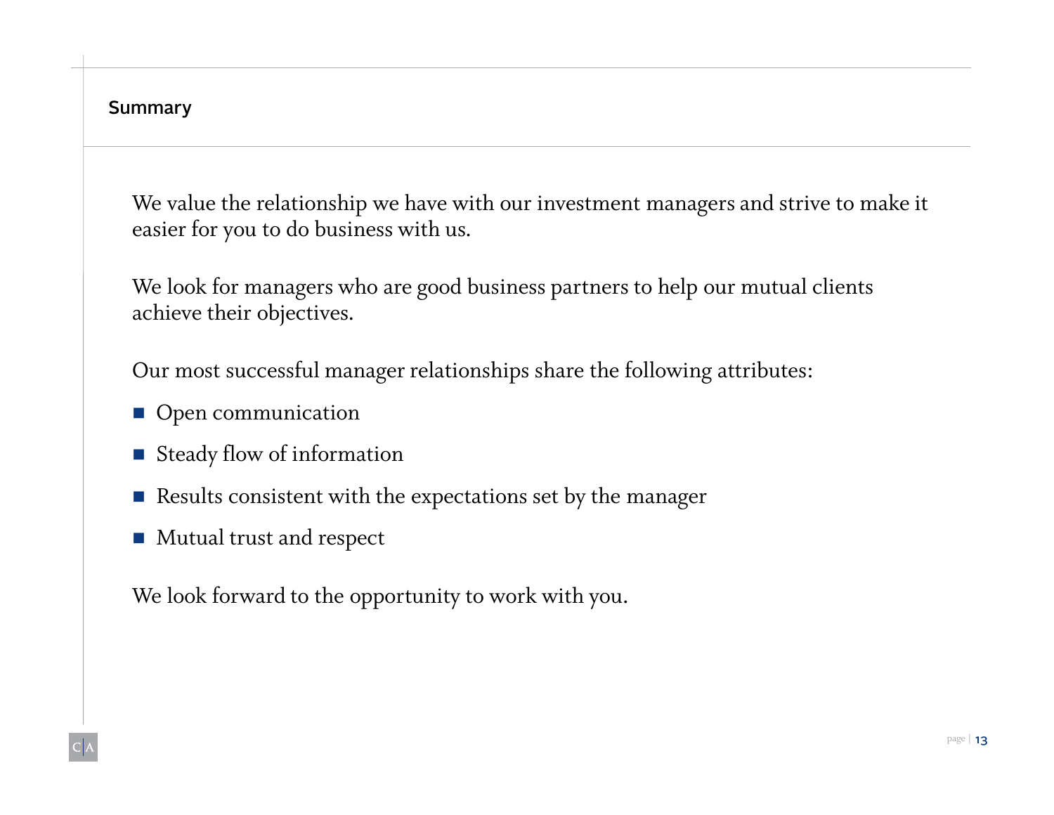Summary

We value the relationship we have with our investment managers and strive to make it easier for you to do business with us.

We look for managers who are good business partners to help our mutual clients achieve their objectives.

Our most successful manager relationships share the following attributes:

- Open communication
- **Steady flow of information**
- Results consistent with the expectations set by the manager
- **Mutual trust and respect**

We look forward to the opportunity to work with you.